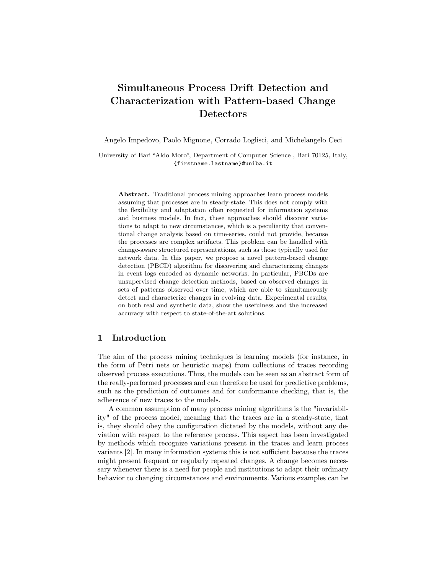# Simultaneous Process Drift Detection and Characterization with Pattern-based Change Detectors

Angelo Impedovo, Paolo Mignone, Corrado Loglisci, and Michelangelo Ceci

University of Bari "Aldo Moro", Department of Computer Science , Bari 70125, Italy, {firstname.lastname}@uniba.it

Abstract. Traditional process mining approaches learn process models assuming that processes are in steady-state. This does not comply with the flexibility and adaptation often requested for information systems and business models. In fact, these approaches should discover variations to adapt to new circumstances, which is a peculiarity that conventional change analysis based on time-series, could not provide, because the processes are complex artifacts. This problem can be handled with change-aware structured representations, such as those typically used for network data. In this paper, we propose a novel pattern-based change detection (PBCD) algorithm for discovering and characterizing changes in event logs encoded as dynamic networks. In particular, PBCDs are unsupervised change detection methods, based on observed changes in sets of patterns observed over time, which are able to simultaneously detect and characterize changes in evolving data. Experimental results, on both real and synthetic data, show the usefulness and the increased accuracy with respect to state-of-the-art solutions.

## 1 Introduction

The aim of the process mining techniques is learning models (for instance, in the form of Petri nets or heuristic maps) from collections of traces recording observed process executions. Thus, the models can be seen as an abstract form of the really-performed processes and can therefore be used for predictive problems, such as the prediction of outcomes and for conformance checking, that is, the adherence of new traces to the models.

A common assumption of many process mining algorithms is the "invariability" of the process model, meaning that the traces are in a steady-state, that is, they should obey the configuration dictated by the models, without any deviation with respect to the reference process. This aspect has been investigated by methods which recognize variations present in the traces and learn process variants [2]. In many information systems this is not sufficient because the traces might present frequent or regularly repeated changes. A change becomes necessary whenever there is a need for people and institutions to adapt their ordinary behavior to changing circumstances and environments. Various examples can be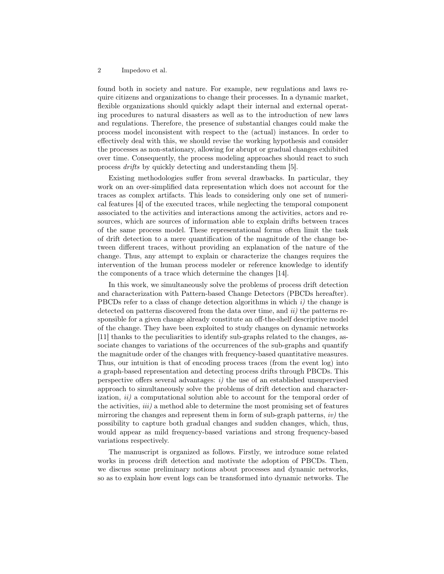found both in society and nature. For example, new regulations and laws require citizens and organizations to change their processes. In a dynamic market, flexible organizations should quickly adapt their internal and external operating procedures to natural disasters as well as to the introduction of new laws and regulations. Therefore, the presence of substantial changes could make the process model inconsistent with respect to the (actual) instances. In order to effectively deal with this, we should revise the working hypothesis and consider the processes as non-stationary, allowing for abrupt or gradual changes exhibited over time. Consequently, the process modeling approaches should react to such process drifts by quickly detecting and understanding them [5].

Existing methodologies suffer from several drawbacks. In particular, they work on an over-simplified data representation which does not account for the traces as complex artifacts. This leads to considering only one set of numerical features [4] of the executed traces, while neglecting the temporal component associated to the activities and interactions among the activities, actors and resources, which are sources of information able to explain drifts between traces of the same process model. These representational forms often limit the task of drift detection to a mere quantification of the magnitude of the change between different traces, without providing an explanation of the nature of the change. Thus, any attempt to explain or characterize the changes requires the intervention of the human process modeler or reference knowledge to identify the components of a trace which determine the changes [14].

In this work, we simultaneously solve the problems of process drift detection and characterization with Pattern-based Change Detectors (PBCDs hereafter). PBCDs refer to a class of change detection algorithms in which  $i$ ) the change is detected on patterns discovered from the data over time, and  $ii$ ) the patterns responsible for a given change already constitute an off-the-shelf descriptive model of the change. They have been exploited to study changes on dynamic networks [11] thanks to the peculiarities to identify sub-graphs related to the changes, associate changes to variations of the occurrences of the sub-graphs and quantify the magnitude order of the changes with frequency-based quantitative measures. Thus, our intuition is that of encoding process traces (from the event log) into a graph-based representation and detecting process drifts through PBCDs. This perspective offers several advantages:  $i$ ) the use of an established unsupervised approach to simultaneously solve the problems of drift detection and characterization,  $ii)$  a computational solution able to account for the temporal order of the activities,  $iii)$  a method able to determine the most promising set of features mirroring the changes and represent them in form of sub-graph patterns,  $iv$ ) the possibility to capture both gradual changes and sudden changes, which, thus, would appear as mild frequency-based variations and strong frequency-based variations respectively.

The manuscript is organized as follows. Firstly, we introduce some related works in process drift detection and motivate the adoption of PBCDs. Then, we discuss some preliminary notions about processes and dynamic networks, so as to explain how event logs can be transformed into dynamic networks. The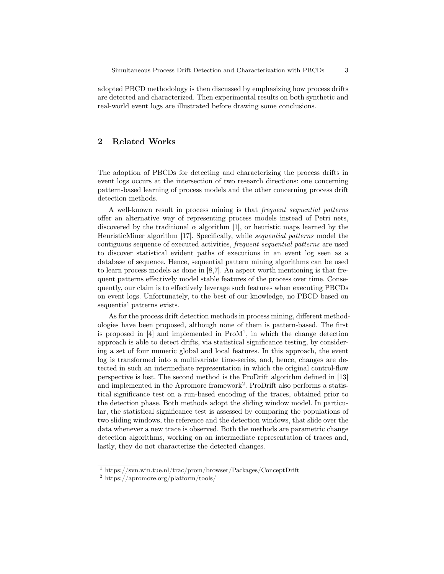adopted PBCD methodology is then discussed by emphasizing how process drifts are detected and characterized. Then experimental results on both synthetic and real-world event logs are illustrated before drawing some conclusions.

# 2 Related Works

The adoption of PBCDs for detecting and characterizing the process drifts in event logs occurs at the intersection of two research directions: one concerning pattern-based learning of process models and the other concerning process drift detection methods.

A well-known result in process mining is that frequent sequential patterns offer an alternative way of representing process models instead of Petri nets, discovered by the traditional  $\alpha$  algorithm [1], or heuristic maps learned by the HeuristicMiner algorithm [17]. Specifically, while sequential patterns model the contiguous sequence of executed activities, frequent sequential patterns are used to discover statistical evident paths of executions in an event log seen as a database of sequence. Hence, sequential pattern mining algorithms can be used to learn process models as done in [8,7]. An aspect worth mentioning is that frequent patterns effectively model stable features of the process over time. Consequently, our claim is to effectively leverage such features when executing PBCDs on event logs. Unfortunately, to the best of our knowledge, no PBCD based on sequential patterns exists.

As for the process drift detection methods in process mining, different methodologies have been proposed, although none of them is pattern-based. The first is proposed in  $[4]$  and implemented in  $ProM<sup>1</sup>$ , in which the change detection approach is able to detect drifts, via statistical significance testing, by considering a set of four numeric global and local features. In this approach, the event log is transformed into a multivariate time-series, and, hence, changes are detected in such an intermediate representation in which the original control-flow perspective is lost. The second method is the ProDrift algorithm defined in [13] and implemented in the Apromore framework<sup>2</sup>. ProDrift also performs a statistical significance test on a run-based encoding of the traces, obtained prior to the detection phase. Both methods adopt the sliding window model. In particular, the statistical significance test is assessed by comparing the populations of two sliding windows, the reference and the detection windows, that slide over the data whenever a new trace is observed. Both the methods are parametric change detection algorithms, working on an intermediate representation of traces and, lastly, they do not characterize the detected changes.

<sup>1</sup> https://svn.win.tue.nl/trac/prom/browser/Packages/ConceptDrift

<sup>2</sup> https://apromore.org/platform/tools/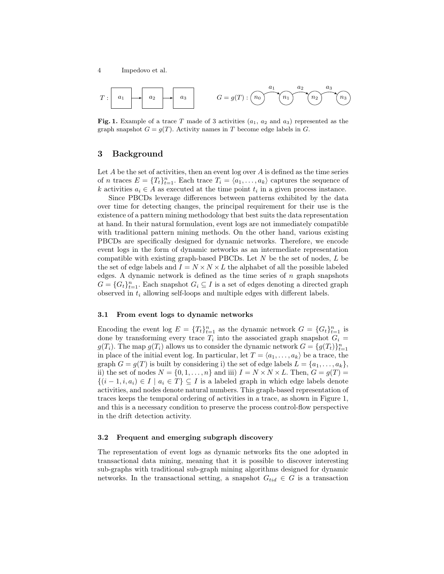

Fig. 1. Example of a trace T made of 3 activities  $(a_1, a_2 \text{ and } a_3)$  represented as the graph snapshot  $G = g(T)$ . Activity names in T become edge labels in G.

# 3 Background

Let  $A$  be the set of activities, then an event log over  $A$  is defined as the time series of *n* traces  $E = \{T_t\}_{t=1}^n$ . Each trace  $T_i = \langle a_1, \ldots, a_k \rangle$  captures the sequence of k activities  $a_i \in A$  as executed at the time point  $t_i$  in a given process instance.

Since PBCDs leverage differences between patterns exhibited by the data over time for detecting changes, the principal requirement for their use is the existence of a pattern mining methodology that best suits the data representation at hand. In their natural formulation, event logs are not immediately compatible with traditional pattern mining methods. On the other hand, various existing PBCDs are specifically designed for dynamic networks. Therefore, we encode event logs in the form of dynamic networks as an intermediate representation compatible with existing graph-based PBCDs. Let  $N$  be the set of nodes,  $L$  be the set of edge labels and  $I = N \times N \times L$  the alphabet of all the possible labeled edges. A dynamic network is defined as the time series of  $n$  graph snapshots  $G = \{G_t\}_{t=1}^n$ . Each snapshot  $G_i \subseteq I$  is a set of edges denoting a directed graph observed in  $t_i$  allowing self-loops and multiple edges with different labels.

### 3.1 From event logs to dynamic networks

Encoding the event log  $E = \{T_t\}_{t=1}^n$  as the dynamic network  $G = \{G_t\}_{t=1}^n$  is done by transforming every trace  $T_i$  into the associated graph snapshot  $G_i =$  $g(T_i)$ . The map  $g(T_i)$  allows us to consider the dynamic network  $G = \{g(T_t)\}_{t=1}^n$ in place of the initial event log. In particular, let  $T = \langle a_1, \ldots, a_k \rangle$  be a trace, the graph  $G = g(T)$  is built by considering i) the set of edge labels  $L = \{a_1, \ldots, a_k\},\$ ii) the set of nodes  $N = \{0, 1, \ldots, n\}$  and iii)  $I = N \times N \times L$ . Then,  $G = g(T)$  $\{(i-1,i,a_i) \in I \mid a_i \in T\} \subseteq I$  is a labeled graph in which edge labels denote activities, and nodes denote natural numbers. This graph-based representation of traces keeps the temporal ordering of activities in a trace, as shown in Figure 1, and this is a necessary condition to preserve the process control-flow perspective in the drift detection activity.

## 3.2 Frequent and emerging subgraph discovery

The representation of event logs as dynamic networks fits the one adopted in transactional data mining, meaning that it is possible to discover interesting sub-graphs with traditional sub-graph mining algorithms designed for dynamic networks. In the transactional setting, a snapshot  $G_{tid} \in G$  is a transaction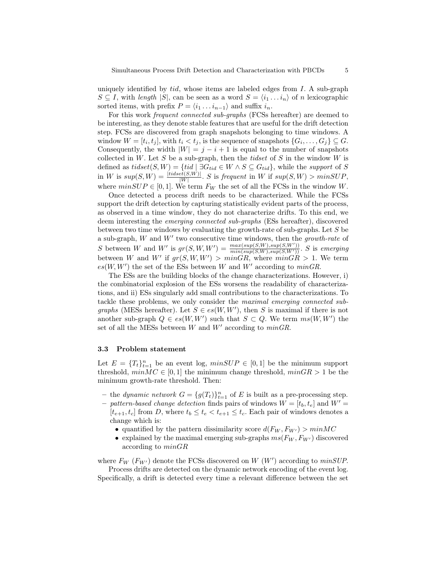uniquely identified by  $tid$ , whose items are labeled edges from  $I$ . A sub-graph  $S \subseteq I$ , with length  $|S|$ , can be seen as a word  $S = \langle i_1 \dots i_n \rangle$  of n lexicographic sorted items, with prefix  $P = \langle i_1 \dots i_{n-1} \rangle$  and suffix  $i_n$ .

For this work frequent connected sub-graphs (FCSs hereafter) are deemed to be interesting, as they denote stable features that are useful for the drift detection step. FCSs are discovered from graph snapshots belonging to time windows. A window  $W = [t_i, t_j]$ , with  $t_i < t_j$ , is the sequence of snapshots  $\{G_i, \ldots, G_j\} \subseteq G$ . Consequently, the width  $|W| = j - i + 1$  is equal to the number of snapshots collected in W. Let S be a sub-graph, then the *tidset* of S in the window W is defined as  $tidset(S, W) = \{tid \mid \exists G_{tid} \in W \wedge S \subseteq G_{tid} \}$ , while the support of S in W is  $sup(S, W) = \frac{|tideset(S, W)|}{|W|}$ . S is frequent in W if  $sup(S, W) > minSUP$ , where  $minSUP \in [0, 1]$ . We term  $F_W$  the set of all the FCSs in the window W.

Once detected a process drift needs to be characterized. While the FCSs support the drift detection by capturing statistically evident parts of the process, as observed in a time window, they do not characterize drifts. To this end, we deem interesting the emerging connected sub-graphs (ESs hereafter), discovered between two time windows by evaluating the growth-rate of sub-graphs. Let S be a sub-graph,  $W$  and  $W'$  two consecutive time windows, then the growth-rate of S between W and W' is  $gr(S, W, W') = \frac{max(sup(S, W), sup(S, W'))}{min(sup(S, W), sup(S, W'))}$ . S is emerging between W and W' if  $gr(S, W, W') > minGR$ , where  $minGR > 1$ . We term  $es(W, W')$  the set of the ESs between W and W' according to  $minGR$ .

The ESs are the building blocks of the change characterizations. However, i) the combinatorial explosion of the ESs worsens the readability of characterizations, and ii) ESs singularly add small contributions to the characterizations. To tackle these problems, we only consider the maximal emerging connected subgraphs (MESs hereafter). Let  $S \in \mathcal{E}(W, W')$ , then S is maximal if there is not another sub-graph  $Q \in \mathscr{es}(W, W')$  such that  $S \subset Q$ . We term  $ms(W, W')$  the set of all the MESs between  $W$  and  $W'$  according to  $minGR$ .

## 3.3 Problem statement

Let  $E = \{T_t\}_{t=1}^n$  be an event log,  $minSUP \in [0, 1]$  be the minimum support threshold,  $minMC \in [0, 1]$  the minimum change threshold,  $minGR > 1$  be the minimum growth-rate threshold. Then:

- the dynamic network  $G = \{g(T_t)\}_{t=1}^n$  of E is built as a pre-processing step.
- pattern-based change detection finds pairs of windows  $W = [t_b, t_e]$  and  $W' =$  $[t_{e+1}, t_c]$  from D, where  $t_b \leq t_e < t_{e+1} \leq t_c$ . Each pair of windows denotes a change which is:
	- quantified by the pattern dissimilarity score  $d(F_W, F_{W'}) > minMC$
	- explained by the maximal emerging sub-graphs  $ms(F_W, F_{W'})$  discovered according to minGR

where  $F_W$  ( $F_{W'}$ ) denote the FCSs discovered on W (W') according to  $minSUP$ .

Process drifts are detected on the dynamic network encoding of the event log. Specifically, a drift is detected every time a relevant difference between the set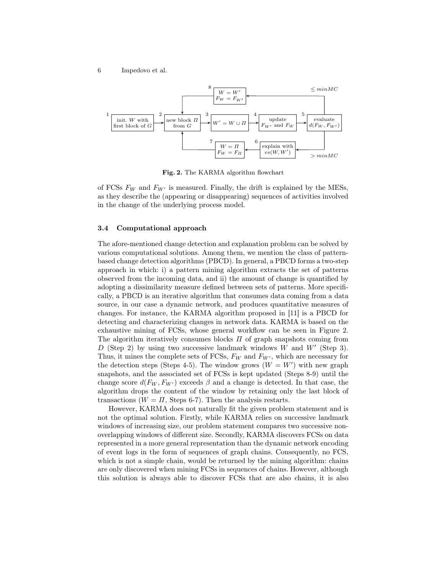6 Impedovo et al.



Fig. 2. The KARMA algorithm flowchart

of FCSs  $F_W$  and  $F_{W'}$  is measured. Finally, the drift is explained by the MESs, as they describe the (appearing or disappearing) sequences of activities involved in the change of the underlying process model.

## 3.4 Computational approach

The afore-mentioned change detection and explanation problem can be solved by various computational solutions. Among them, we mention the class of patternbased change detection algorithms (PBCD). In general, a PBCD forms a two-step approach in which: i) a pattern mining algorithm extracts the set of patterns observed from the incoming data, and ii) the amount of change is quantified by adopting a dissimilarity measure defined between sets of patterns. More specifically, a PBCD is an iterative algorithm that consumes data coming from a data source, in our case a dynamic network, and produces quantitative measures of changes. For instance, the KARMA algorithm proposed in [11] is a PBCD for detecting and characterizing changes in network data. KARMA is based on the exhaustive mining of FCSs, whose general workflow can be seen in Figure 2. The algorithm iteratively consumes blocks  $\Pi$  of graph snapshots coming from D (Step 2) by using two successive landmark windows  $W$  and  $W'$  (Step 3). Thus, it mines the complete sets of FCSs,  $F_W$  and  $F_{W'}$ , which are necessary for the detection steps (Steps 4-5). The window grows  $(W = W')$  with new graph snapshots, and the associated set of FCSs is kept updated (Steps 8-9) until the change score  $d(F_W, F_{W'})$  exceeds  $\beta$  and a change is detected. In that case, the algorithm drops the content of the window by retaining only the last block of transactions  $(W = \Pi,$  Steps 6-7). Then the analysis restarts.

However, KARMA does not naturally fit the given problem statement and is not the optimal solution. Firstly, while KARMA relies on successive landmark windows of increasing size, our problem statement compares two successive nonoverlapping windows of different size. Secondly, KARMA discovers FCSs on data represented in a more general representation than the dynamic network encoding of event logs in the form of sequences of graph chains. Consequently, no FCS, which is not a simple chain, would be returned by the mining algorithm: chains are only discovered when mining FCSs in sequences of chains. However, although this solution is always able to discover FCSs that are also chains, it is also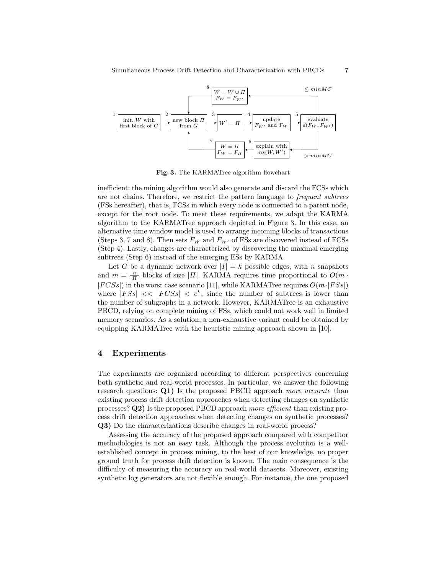

Fig. 3. The KARMATree algorithm flowchart

inefficient: the mining algorithm would also generate and discard the FCSs which are not chains. Therefore, we restrict the pattern language to frequent subtrees (FSs hereafter), that is, FCSs in which every node is connected to a parent node, except for the root node. To meet these requirements, we adapt the KARMA algorithm to the KARMATree approach depicted in Figure 3. In this case, an alternative time window model is used to arrange incoming blocks of transactions (Steps 3, 7 and 8). Then sets  $F_W$  and  $F_{W'}$  of FSs are discovered instead of FCSs (Step 4). Lastly, changes are characterized by discovering the maximal emerging subtrees (Step 6) instead of the emerging ESs by KARMA.

Let G be a dynamic network over  $|I| = k$  possible edges, with n snapshots and  $m = \frac{n}{|H|}$  blocks of size |H|. KARMA requires time proportional to  $O(m \cdot$  $|FCSS|$  in the worst case scenario [11], while KARMATree requires  $O(m \cdot |F S s|)$ where  $|F S s| \ll |F C S s| \ll e^k$ , since the number of subtrees is lower than the number of subgraphs in a network. However, KARMATree is an exhaustive PBCD, relying on complete mining of FSs, which could not work well in limited memory scenarios. As a solution, a non-exhaustive variant could be obtained by equipping KARMATree with the heuristic mining approach shown in [10].

## 4 Experiments

The experiments are organized according to different perspectives concerning both synthetic and real-world processes. In particular, we answer the following research questions: Q1) Is the proposed PBCD approach more accurate than existing process drift detection approaches when detecting changes on synthetic processes? Q2) Is the proposed PBCD approach more efficient than existing process drift detection approaches when detecting changes on synthetic processes? Q3) Do the characterizations describe changes in real-world process?

Assessing the accuracy of the proposed approach compared with competitor methodologies is not an easy task. Although the process evolution is a wellestablished concept in process mining, to the best of our knowledge, no proper ground truth for process drift detection is known. The main consequence is the difficulty of measuring the accuracy on real-world datasets. Moreover, existing synthetic log generators are not flexible enough. For instance, the one proposed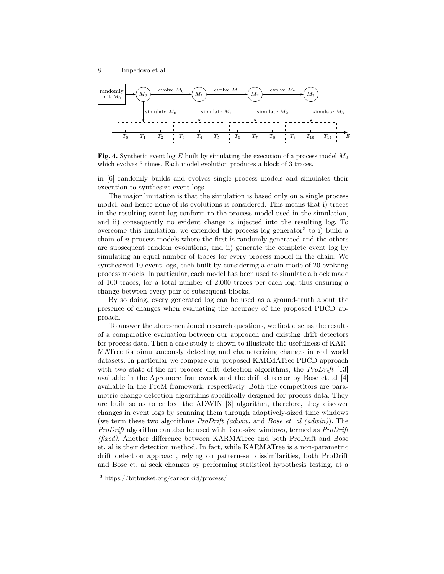

**Fig. 4.** Synthetic event log E built by simulating the execution of a process model  $M_0$ which evolves 3 times. Each model evolution produces a block of 3 traces.

in [6] randomly builds and evolves single process models and simulates their execution to synthesize event logs.

The major limitation is that the simulation is based only on a single process model, and hence none of its evolutions is considered. This means that i) traces in the resulting event log conform to the process model used in the simulation, and ii) consequently no evident change is injected into the resulting log. To overcome this limitation, we extended the process log generator<sup>3</sup> to i) build a chain of  $n$  process models where the first is randomly generated and the others are subsequent random evolutions, and ii) generate the complete event log by simulating an equal number of traces for every process model in the chain. We synthesized 10 event logs, each built by considering a chain made of 20 evolving process models. In particular, each model has been used to simulate a block made of 100 traces, for a total number of 2,000 traces per each log, thus ensuring a change between every pair of subsequent blocks.

By so doing, every generated log can be used as a ground-truth about the presence of changes when evaluating the accuracy of the proposed PBCD approach.

To answer the afore-mentioned research questions, we first discuss the results of a comparative evaluation between our approach and existing drift detectors for process data. Then a case study is shown to illustrate the usefulness of KAR-MATree for simultaneously detecting and characterizing changes in real world datasets. In particular we compare our proposed KARMATree PBCD approach with two state-of-the-art process drift detection algorithms, the *ProDrift* [13] available in the Apromore framework and the drift detector by Bose et. al [4] available in the ProM framework, respectively. Both the competitors are parametric change detection algorithms specifically designed for process data. They are built so as to embed the ADWIN [3] algorithm, therefore, they discover changes in event logs by scanning them through adaptively-sized time windows (we term these two algorithms ProDrift (adwin) and Bose et. al (adwin)). The ProDrift algorithm can also be used with fixed-size windows, termed as ProDrift (fixed). Another difference between KARMATree and both ProDrift and Bose et. al is their detection method. In fact, while KARMATree is a non-parametric drift detection approach, relying on pattern-set dissimilarities, both ProDrift and Bose et. al seek changes by performing statistical hypothesis testing, at a

<sup>3</sup> https://bitbucket.org/carbonkid/process/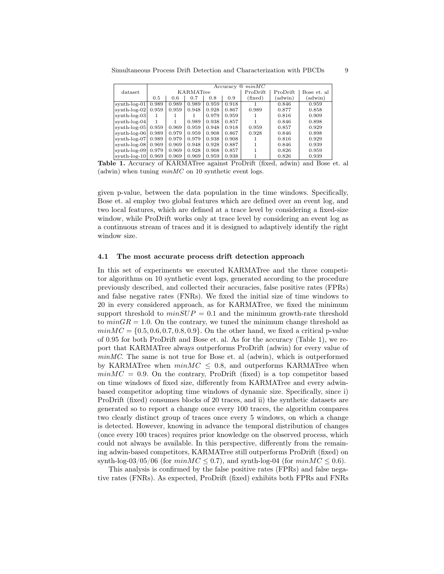|                     | minMC<br>Accuracy <sup>@</sup> |       |           |       |       |          |          |             |  |
|---------------------|--------------------------------|-------|-----------|-------|-------|----------|----------|-------------|--|
| dataset             |                                |       | KARMATree |       |       | ProDrift | ProDrift | Bose et. al |  |
|                     | 0.5                            | 0.6   | 0.7       | 0.8   | 0.9   | (fixed)  | adwin)   | (adwin)     |  |
| $s$ ynth- $log-01$  | 0.989                          | 0.989 | 0.989     | 0.959 | 0.918 |          | 0.846    | 0.959       |  |
| synth- $log-02$     | 0.959                          | 0.959 | 0.948     | 0.928 | 0.867 | 0.989    | 0.877    | 0.858       |  |
| $s$ ynth- $log-03$  |                                |       |           | 0.979 | 0.959 |          | 0.816    | 0.909       |  |
| synth- $log-04$     |                                |       | 0.989     | 0.938 | 0.857 |          | 0.846    | 0.898       |  |
| $synth$ - $log-05$  | 0.959                          | 0.969 | 0.959     | 0.948 | 0.918 | 0.959    | 0.857    | 0.929       |  |
| $s$ ynth- $log-06$  | 0.989                          | 0.979 | 0.959     | 0.908 | 0.867 | 0.928    | 0.846    | 0.898       |  |
| $s$ ynth- $log-07$  | 0.989                          | 0.979 | 0.979     | 0.938 | 0.908 |          | 0.816    | 0.929       |  |
| $s$ synth- $log-08$ | 0.969                          | 0.969 | 0.948     | 0.928 | 0.887 |          | 0.846    | 0.939       |  |
| $s$ ynth- $log-09$  | 0.979                          | 0.969 | 0.928     | 0.908 | 0.857 |          | 0.826    | 0.959       |  |
| $s$ ynth- $log-10$  | 0.969                          | 0.969 | 0.969     | 0.959 | 0.938 |          | 0.826    | 0.939       |  |

Table 1. Accuracy of KARMATree against ProDrift (fixed, adwin) and Bose et. al (adwin) when tuning  $minMC$  on 10 synthetic event logs.

given p-value, between the data population in the time windows. Specifically, Bose et. al employ two global features which are defined over an event log, and two local features, which are defined at a trace level by considering a fixed-size window, while ProDrift works only at trace level by considering an event log as a continuous stream of traces and it is designed to adaptively identify the right window size.

## 4.1 The most accurate process drift detection approach

In this set of experiments we executed KARMATree and the three competitor algorithms on 10 synthetic event logs, generated according to the procedure previously described, and collected their accuracies, false positive rates (FPRs) and false negative rates (FNRs). We fixed the initial size of time windows to 20 in every considered approach, as for KARMATree, we fixed the minimum support threshold to  $minSUP = 0.1$  and the minimum growth-rate threshold to  $minGR = 1.0$ . On the contrary, we tuned the minimum change threshold as  $minMC = \{0.5, 0.6, 0.7, 0.8, 0.9\}$ . On the other hand, we fixed a critical p-value of 0.95 for both ProDrift and Bose et. al. As for the accuracy (Table 1), we report that KARMATree always outperforms ProDrift (adwin) for every value of  $minMC$ . The same is not true for Bose et. al (adwin), which is outperformed by KARMATree when  $minMC \leq 0.8$ , and outperforms KARMATree when  $minMC = 0.9$ . On the contrary, ProDrift (fixed) is a top competitor based on time windows of fixed size, differently from KARMATree and every adwinbased competitor adopting time windows of dynamic size. Specifically, since i) ProDrift (fixed) consumes blocks of 20 traces, and ii) the synthetic datasets are generated so to report a change once every 100 traces, the algorithm compares two clearly distinct group of traces once every 5 windows, on which a change is detected. However, knowing in advance the temporal distribution of changes (once every 100 traces) requires prior knowledge on the observed process, which could not always be available. In this perspective, differently from the remaining adwin-based competitors, KARMATree still outperforms ProDrift (fixed) on synth-log-03/05/06 (for  $minMC < 0.7$ ), and synth-log-04 (for  $minMC < 0.6$ ).

This analysis is confirmed by the false positive rates (FPRs) and false negative rates (FNRs). As expected, ProDrift (fixed) exhibits both FPRs and FNRs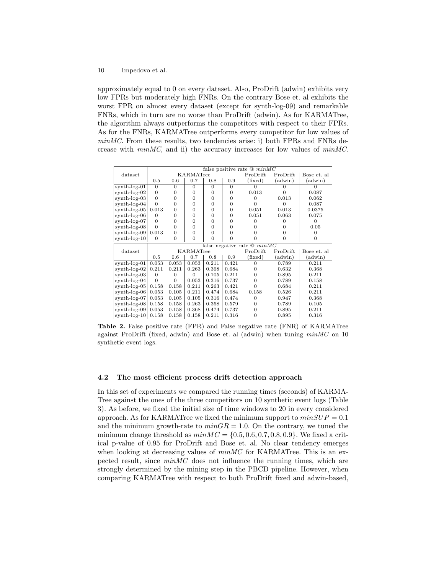approximately equal to 0 on every dataset. Also, ProDrift (adwin) exhibits very low FPRs but moderately high FNRs. On the contrary Bose et. al exhibits the worst FPR on almost every dataset (except for synth-log-09) and remarkable FNRs, which in turn are no worse than ProDrift (adwin). As for KARMATree, the algorithm always outperforms the competitors with respect to their FPRs. As for the FNRs, KARMATree outperforms every competitor for low values of  $minMC$ . From these results, two tendencies arise: i) both FPRs and FNRs decrease with  $minMC$ , and ii) the accuracy increases for low values of  $minMC$ .

|                | false positive rate $@$ $minMC$ |                |                |                |          |                                 |             |                  |
|----------------|---------------------------------|----------------|----------------|----------------|----------|---------------------------------|-------------|------------------|
| dataset        | KARMATree                       |                |                |                | ProDrift | ProDrift                        | Bose et. al |                  |
|                | 0.5                             | 0.6            | 0.7            | 0.8            | 0.9      | (fixed)                         | (adwin)     | $(\text{adwin})$ |
| $synth-log-01$ | $\Omega$                        | $\Omega$       | $\Omega$       | $\Omega$       | $\Omega$ |                                 |             |                  |
| $synth-log-02$ | $\overline{0}$                  | $\theta$       | $\overline{0}$ | $\overline{0}$ | $\Omega$ | 0.013                           | 0           | 0.087            |
| $synth-log-03$ | $\overline{0}$                  | $\theta$       | $\overline{0}$ | $\overline{0}$ | $\Omega$ |                                 | 0.013       | 0.062            |
| $synth-log-04$ | $\Omega$                        | $\Omega$       | $\overline{0}$ | $\overline{0}$ | $\Omega$ |                                 | O           | 0.087            |
| $synth-log-05$ | 0.013                           | $\overline{0}$ | $\overline{0}$ | $\overline{0}$ | $\Omega$ | 0.051                           | 0.013       | 0.0375           |
| $synth-log-06$ | $\theta$                        | $\overline{0}$ | $\theta$       | $\overline{0}$ | $\Omega$ | 0.051                           | 0.063       | 0.075            |
| $synth-log-07$ | $\overline{0}$                  | $\theta$       | $\overline{0}$ | $\overline{0}$ | $\Omega$ |                                 | O           |                  |
| $synth-log-08$ | $\overline{0}$                  | $\theta$       | $\theta$       | $\overline{0}$ | $\Omega$ |                                 |             | 0.05             |
| $synth-log-09$ | 0.013                           | $\Omega$       | $\Omega$       | $\overline{0}$ | $\Omega$ |                                 | O           | Ω                |
| $synth-log-10$ | $\overline{0}$                  | $\overline{0}$ | $\theta$       | $\overline{0}$ | $\Omega$ | O                               | 0           | 0                |
|                |                                 |                |                |                |          |                                 |             |                  |
|                |                                 |                |                |                |          | false negative rate $@$ $minMC$ |             |                  |
| dataset        |                                 |                | KARMATree      |                |          | ProDrift                        | ProDrift    | Bose et. al      |
|                | 0.5                             | 0.6            | 0.7            | 0.8            | 0.9      | $(\text{fixed})$                | adwin)      | (adwin)          |
| $synth-log-01$ | 0.053                           | 0.053          | 0.053          | 0.211          | 0.421    | $\Omega$                        | 0.789       | 0.211            |
| $synth-log-02$ | 0.211                           | 0.211          | 0.263          | 0.368          | 0.684    | O                               | 0.632       | 0.368            |
| $synth-log-03$ | $\overline{0}$                  | $\theta$       | $\Omega$       | 0.105          | 0.211    | 0                               | 0.895       | 0.211            |
| $synth-log-04$ | $\Omega$                        | $\Omega$       | 0.053          | 0.316          | 0.737    | O                               | 0.789       | 0.158            |
| $synth-log-05$ | 0.158                           | 0.158          | 0.211          | 0.263          | 0.421    | O                               | 0.684       | 0.211            |
| $synth-log-06$ | 0.053                           | 0.105          | 0.211          | 0.474          | 0.684    | 0.158                           | 0.526       | 0.211            |
| $synth-log-07$ | 0.053                           | 0.105          | 0.105          | 0.316          | 0.474    | 0                               | 0.947       | 0.368            |
| $synth-log-08$ | 0.158                           | 0.158          | 0.263          | 0.368          | 0.579    | 0                               | 0.789       | 0.105            |
| $synth-log-09$ | 0.053                           | 0.158          | 0.368          | 0.474          | 0.737    | O                               | 0.895       | 0.211            |

Table 2. False positive rate (FPR) and False negative rate (FNR) of KARMATree against ProDrift (fixed, adwin) and Bose et. al (adwin) when tuning  $minMC$  on 10 synthetic event logs.

### 4.2 The most efficient process drift detection approach

In this set of experiments we compared the running times (seconds) of KARMA-Tree against the ones of the three competitors on 10 synthetic event logs (Table 3). As before, we fixed the initial size of time windows to 20 in every considered approach. As for KARMATree we fixed the minimum support to  $minSUP = 0.1$ and the minimum growth-rate to  $minGR = 1.0$ . On the contrary, we tuned the minimum change threshold as  $minMC = \{0.5, 0.6, 0.7, 0.8, 0.9\}$ . We fixed a critical p-value of 0.95 for ProDrift and Bose et. al. No clear tendency emerges when looking at decreasing values of  $minMC$  for KARMATree. This is an expected result, since  $minMC$  does not influence the running times, which are strongly determined by the mining step in the PBCD pipeline. However, when comparing KARMATree with respect to both ProDrift fixed and adwin-based,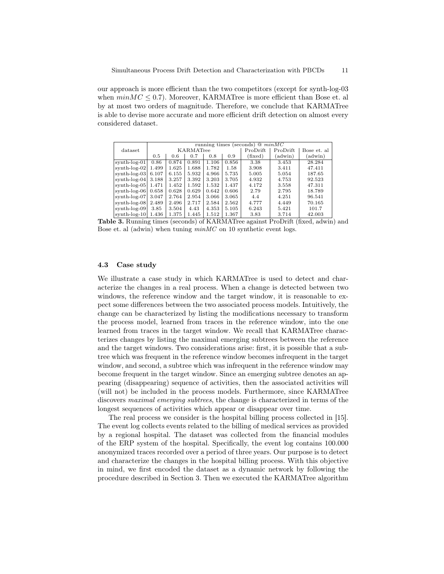our approach is more efficient than the two competitors (except for synth-log-03 when  $minMC \leq 0.7$ . Moreover, KARMATree is more efficient than Bose et. al by at most two orders of magnitude. Therefore, we conclude that KARMATree is able to devise more accurate and more efficient drift detection on almost every considered dataset.

|                      | $\overline{\text{running times}}$ (<br>minMC<br>(seconds) @ |       |           |       |          |          |             |         |  |
|----------------------|-------------------------------------------------------------|-------|-----------|-------|----------|----------|-------------|---------|--|
| dataset              |                                                             |       | KARMATree |       | ProDrift | ProDrift | Bose et. al |         |  |
|                      | 0.5                                                         | 0.6   | 0.7       | 0.8   | 0.9      | (fixed)  | adwin)      | (adwin) |  |
| $synth-log-01$       | 0.86                                                        | 0.874 | 0.891     | 1.106 | 0.856    | 3.38     | 3.453       | 28.284  |  |
| synth- $log-02$      | 1.499                                                       | 1.625 | 1.688     | 1.782 | 1.58     | 3.908    | 3.411       | 47.411  |  |
| $s$ ynth- $log-03$   | 6.107                                                       | 6.155 | 5.932     | 4.966 | 5.735    | 5.005    | 5.054       | 187.65  |  |
| synth- $log-04$      | 3.188                                                       | 3.257 | 3.392     | 3.203 | 3.705    | 4.932    | 4.753       | 92.523  |  |
| synth- $log-05$      | 1.471                                                       | 1.452 | 1.592     | 1.532 | 1.437    | 4.172    | 3.558       | 47.311  |  |
| $s$ ynth- $log-06$   | 0.658                                                       | 0.628 | 0.629     | 0.642 | 0.606    | 2.79     | 2.795       | 18.789  |  |
| synth- $log-07$      | 3.047                                                       | 2.764 | 2.954     | 3.066 | 3.065    | 4.4      | 4.251       | 96.541  |  |
| $ $ synth- $log-08 $ | 2.489                                                       | 2.496 | 2.717     | 2.584 | 2.562    | 4.777    | 4.449       | 70.165  |  |
| $s$ ynth- $log-09$   | 3.85                                                        | 3.504 | 4.43      | 4.353 | 5.105    | 6.243    | 5.421       | 101.7   |  |
| synth- $log-10$      | 1.436                                                       | 1.375 | 1.445     | 1.512 | 1.367    | 3.83     | 3.714       | 42.003  |  |

Table 3. Running times (seconds) of KARMATree against ProDrift (fixed, adwin) and Bose et. al (adwin) when tuning  $minMC$  on 10 synthetic event logs.

#### 4.3 Case study

We illustrate a case study in which KARMATree is used to detect and characterize the changes in a real process. When a change is detected between two windows, the reference window and the target window, it is reasonable to expect some differences between the two associated process models. Intuitively, the change can be characterized by listing the modifications necessary to transform the process model, learned from traces in the reference window, into the one learned from traces in the target window. We recall that KARMATree characterizes changes by listing the maximal emerging subtrees between the reference and the target windows. Two considerations arise: first, it is possible that a subtree which was frequent in the reference window becomes infrequent in the target window, and second, a subtree which was infrequent in the reference window may become frequent in the target window. Since an emerging subtree denotes an appearing (disappearing) sequence of activities, then the associated activities will (will not) be included in the process models. Furthermore, since KARMATree discovers maximal emerging subtrees, the change is characterized in terms of the longest sequences of activities which appear or disappear over time.

The real process we consider is the hospital billing process collected in [15]. The event log collects events related to the billing of medical services as provided by a regional hospital. The dataset was collected from the financial modules of the ERP system of the hospital. Specifically, the event log contains 100.000 anonymized traces recorded over a period of three years. Our purpose is to detect and characterize the changes in the hospital billing process. With this objective in mind, we first encoded the dataset as a dynamic network by following the procedure described in Section 3. Then we executed the KARMATree algorithm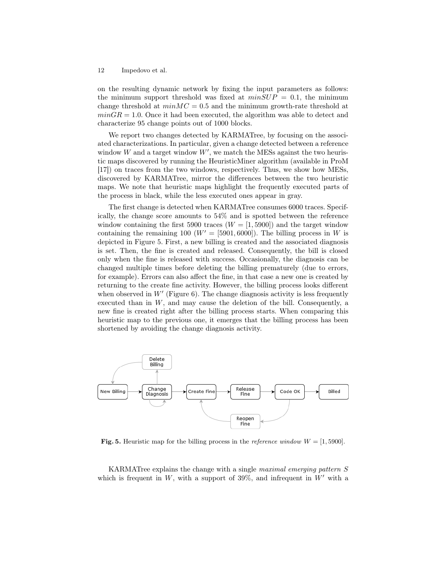on the resulting dynamic network by fixing the input parameters as follows: the minimum support threshold was fixed at  $minSUP = 0.1$ , the minimum change threshold at  $minMC = 0.5$  and the minimum growth-rate threshold at  $minGR = 1.0$ . Once it had been executed, the algorithm was able to detect and characterize 95 change points out of 1000 blocks.

We report two changes detected by KARMATree, by focusing on the associated characterizations. In particular, given a change detected between a reference window  $W$  and a target window  $W'$ , we match the MESs against the two heuristic maps discovered by running the HeuristicMiner algorithm (available in ProM [17]) on traces from the two windows, respectively. Thus, we show how MESs, discovered by KARMATree, mirror the differences between the two heuristic maps. We note that heuristic maps highlight the frequently executed parts of the process in black, while the less executed ones appear in gray.

The first change is detected when KARMATree consumes 6000 traces. Specifically, the change score amounts to 54% and is spotted between the reference window containing the first 5900 traces  $(W = [1, 5900])$  and the target window containing the remaining 100 ( $W' = [5901, 6000]$ ). The billing process in W is depicted in Figure 5. First, a new billing is created and the associated diagnosis is set. Then, the fine is created and released. Consequently, the bill is closed only when the fine is released with success. Occasionally, the diagnosis can be changed multiple times before deleting the billing prematurely (due to errors, for example). Errors can also affect the fine, in that case a new one is created by returning to the create fine activity. However, the billing process looks different when observed in  $W'$  (Figure 6). The change diagnosis activity is less frequently executed than in  $W$ , and may cause the deletion of the bill. Consequently, a new fine is created right after the billing process starts. When comparing this heuristic map to the previous one, it emerges that the billing process has been shortened by avoiding the change diagnosis activity.



**Fig. 5.** Heuristic map for the billing process in the *reference window*  $W = [1, 5900]$ .

KARMATree explains the change with a single maximal emerging pattern S which is frequent in W, with a support of  $39\%$ , and infrequent in W' with a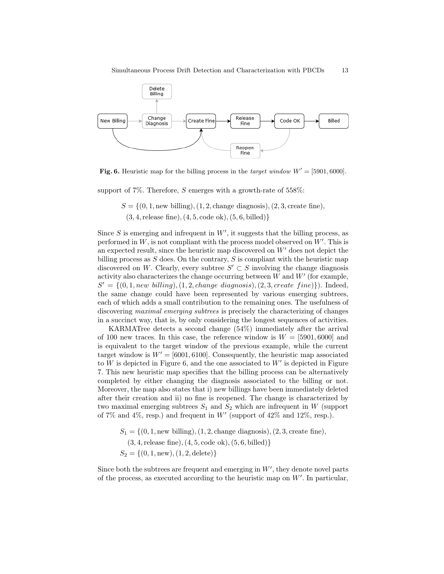

Fig. 6. Heuristic map for the billing process in the *target window*  $W' = [5901, 6000]$ .

support of 7%. Therefore,  $S$  emerges with a growth-rate of 558%:

 $S = \{(0, 1, new billion), (1, 2, change diagnosis), (2, 3, create fine),\}$ 

 $(3, 4, \text{release fine}), (4, 5, \text{code ok}), (5, 6, \text{billed})\}$ 

Since  $S$  is emerging and infrequent in  $W'$ , it suggests that the billing process, as performed in  $W$ , is not compliant with the process model observed on  $W'$ . This is an expected result, since the heuristic map discovered on  $W'$  does not depict the billing process as  $S$  does. On the contrary,  $S$  is compliant with the heuristic map discovered on W. Clearly, every subtree  $S' \subset S$  involving the change diagnosis activity also characterizes the change occurring between  $W$  and  $W'$  (for example,  $S' = \{(0, 1, new \; billing), (1, 2, change \; diagnostis), (2, 3, create \; fine)\}\}.$  Indeed, the same change could have been represented by various emerging subtrees, each of which adds a small contribution to the remaining ones. The usefulness of discovering maximal emerging subtrees is precisely the characterizing of changes in a succinct way, that is, by only considering the longest sequences of activities.

KARMATree detects a second change (54%) immediately after the arrival of 100 new traces. In this case, the reference window is  $W = [5901, 6000]$  and is equivalent to the target window of the previous example, while the current target window is  $W' = [6001, 6100]$ . Consequently, the heuristic map associated to  $W$  is depicted in Figure 6, and the one associated to  $W'$  is depicted in Figure 7. This new heuristic map specifies that the billing process can be alternatively completed by either changing the diagnosis associated to the billing or not. Moreover, the map also states that i) new billings have been immediately deleted after their creation and ii) no fine is reopened. The change is characterized by two maximal emerging subtrees  $S_1$  and  $S_2$  which are infrequent in W (support of 7% and 4%, resp.) and frequent in  $W'$  (support of 42% and 12%, resp.).

$$
S_1 = \{(0, 1, new billing), (1, 2, change diagnosis), (2, 3, create fine), (3, 4, release fine), (4, 5, code ok), (5, 6, billed)\}
$$

$$
S_2 = \{(0, 1, new), (1, 2, delete)\}
$$

Since both the subtrees are frequent and emerging in  $W'$ , they denote novel parts of the process, as executed according to the heuristic map on  $W'$ . In particular,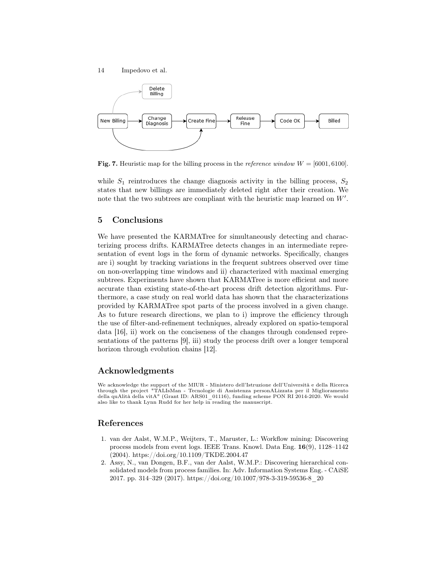

Fig. 7. Heuristic map for the billing process in the *reference window*  $W = [6001, 6100]$ .

while  $S_1$  reintroduces the change diagnosis activity in the billing process,  $S_2$ states that new billings are immediately deleted right after their creation. We note that the two subtrees are compliant with the heuristic map learned on  $W'$ .

# 5 Conclusions

We have presented the KARMATree for simultaneously detecting and characterizing process drifts. KARMATree detects changes in an intermediate representation of event logs in the form of dynamic networks. Specifically, changes are i) sought by tracking variations in the frequent subtrees observed over time on non-overlapping time windows and ii) characterized with maximal emerging subtrees. Experiments have shown that KARMATree is more efficient and more accurate than existing state-of-the-art process drift detection algorithms. Furthermore, a case study on real world data has shown that the characterizations provided by KARMATree spot parts of the process involved in a given change. As to future research directions, we plan to i) improve the efficiency through the use of filter-and-refinement techniques, already explored on spatio-temporal data [16], ii) work on the conciseness of the changes through condensed representations of the patterns [9], iii) study the process drift over a longer temporal horizon through evolution chains [12].

# Acknowledgments

We acknowledge the support of the MIUR - Ministero dell'Istruzione dell'Università e della Ricerca through the project "TALIsMan - Tecnologie di Assistenza personALizzata per il Miglioramento della quAlità della vitA" (Grant ID: ARS01\_01116), funding scheme PON RI 2014-2020. We would also like to thank Lynn Rudd for her help in reading the manuscript.

# References

- 1. van der Aalst, W.M.P., Weijters, T., Maruster, L.: Workflow mining: Discovering process models from event logs. IEEE Trans. Knowl. Data Eng. 16(9), 1128–1142 (2004). https://doi.org/10.1109/TKDE.2004.47
- 2. Assy, N., van Dongen, B.F., van der Aalst, W.M.P.: Discovering hierarchical consolidated models from process families. In: Adv. Information Systems Eng. - CAiSE 2017. pp. 314–329 (2017). https://doi.org/10.1007/978-3-319-59536-8\_20